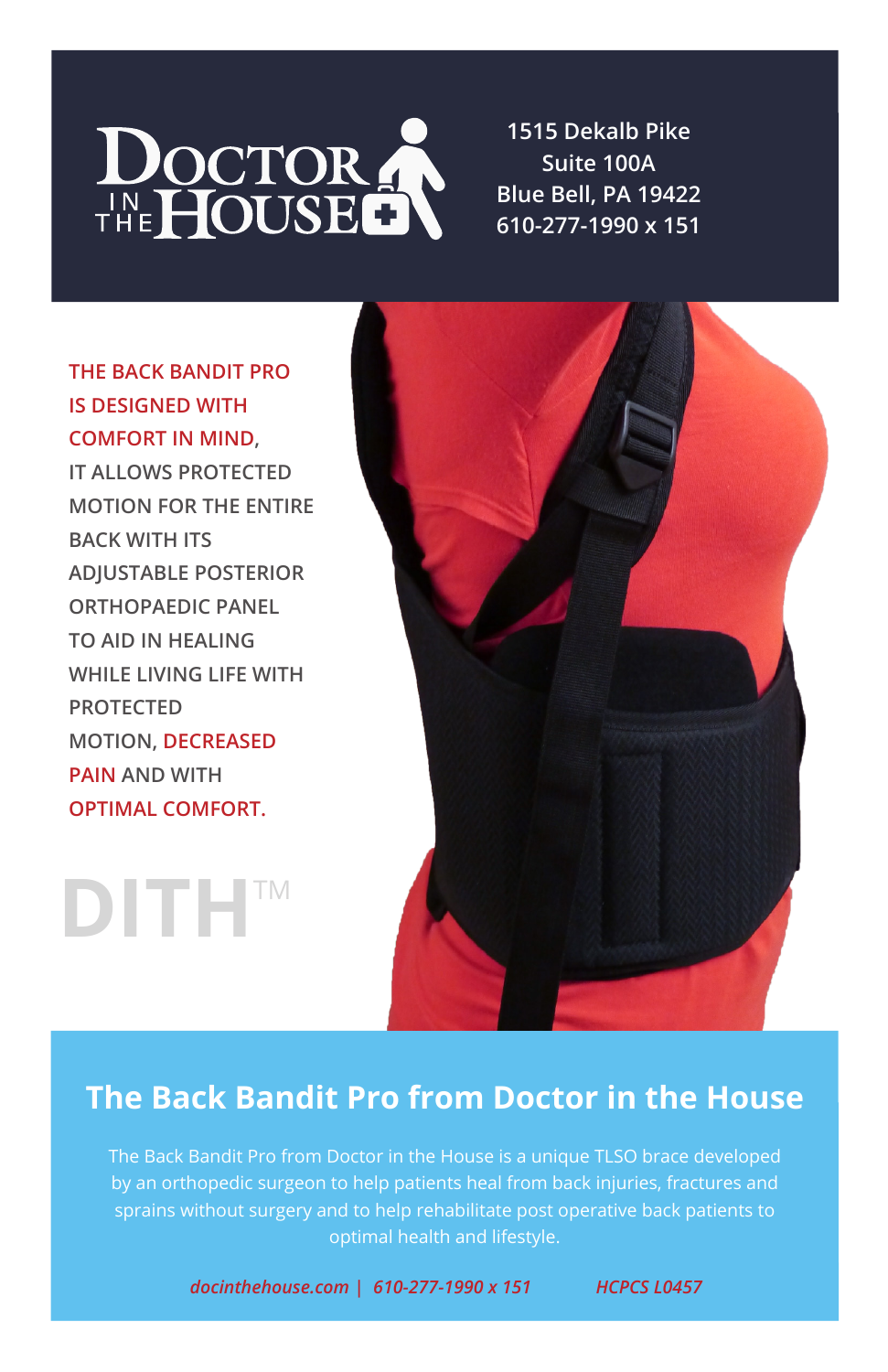

**1515 Dekalb Pike Suite 100A Blue Bell, PA 19422 610-277-1990 x 151**

**THE BACK BANDIT PRO IS DESIGNED WITH COMFORT IN MIND, IT ALLOWS PROTECTED MOTION FOR THE ENTIRE BACK WITH ITS ADJUSTABLE POSTERIOR ORTHOPAEDIC PANEL TO AID IN HEALING WHILE LIVING LIFE WITH PROTECTED MOTION, DECREASED**

**PAIN AND WITH OPTIMAL COMFORT.**

**DITH**TM



### **The Back Bandit Pro from Doctor in the House**

The Back Bandit Pro from Doctor in the House is a unique TLSO brace developed by an orthopedic surgeon to help patients heal from back injuries, fractures and sprains without surgery and to help rehabilitate post operative back patients to optimal health and lifestyle.

*docinthehouse.com | 610-277-1990 x 151 HCPCS L0457*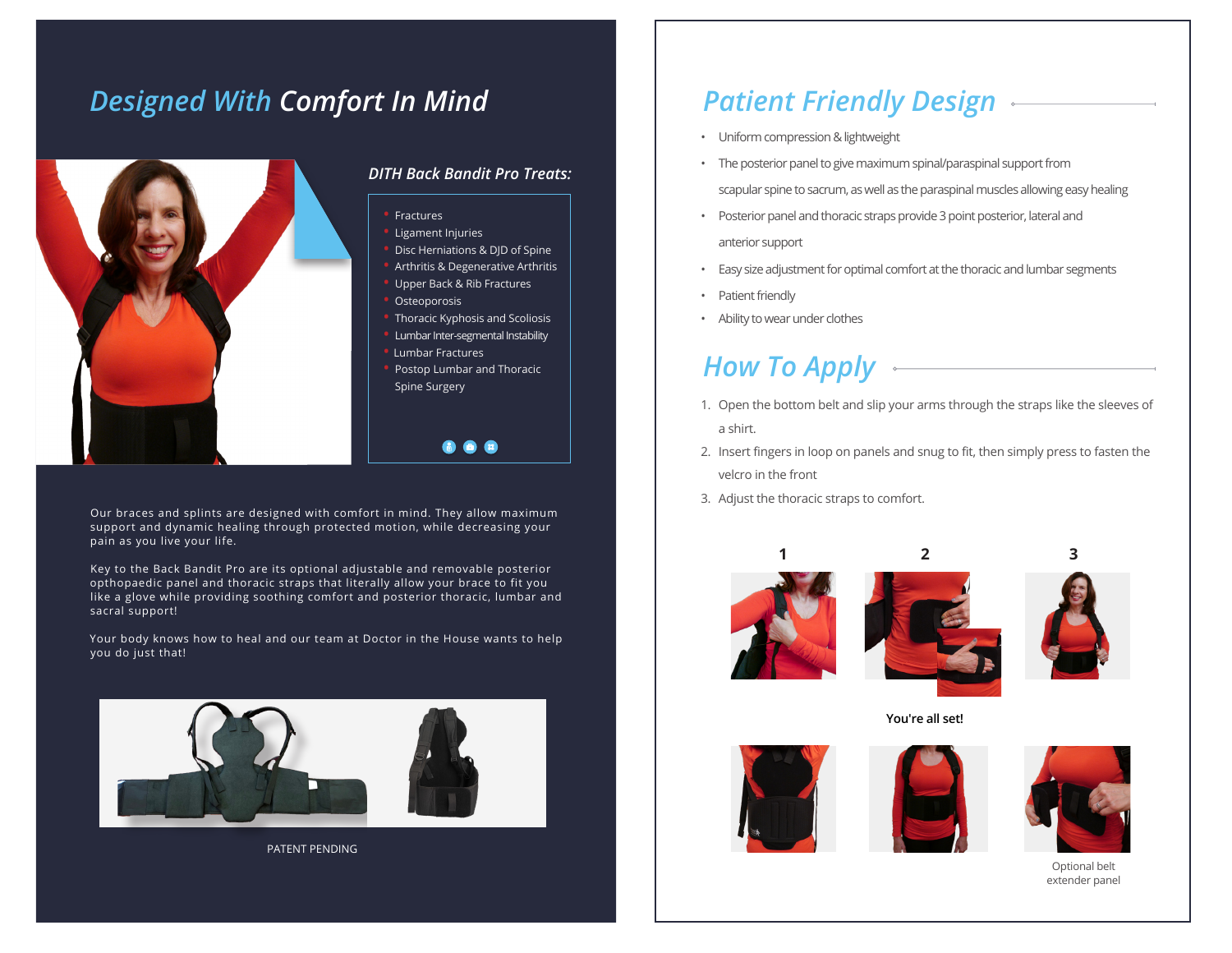# *Designed With Comfort In Mind*



### *DITH Back Bandit Pro Treats:*

- **•** Fractures
	- **•** Ligament Injuries
- **•** Disc Herniations & DJD of Spine
- **•** Arthritis & Degenerative Arthritis **•** Upper Back & Rib Fractures
- **•** Osteoporosis
- **•** Thoracic Kyphosis and Scoliosis
- **•** Lumbar Inter-segmental Instability
- **•** Lumbar Fractures
- **•** Postop Lumbar and Thoracic Spine Surgery

**C** 2

Our braces and splints are designed with comfort in mind. They allow maximum support and dynamic healing through protected motion, while decreasing your pain as you live your life.

Key to the Back Bandit Pro are its optional adjustable and removable posterior opthopaedic panel and thoracic straps that literally allow your brace to fit you like a glove while providing soothing comfort and posterior thoracic, lumbar and sacral support!

Your body knows how to heal and our team at Doctor in the House wants to help you do just that!



PATENT PENDING

## *Patient Friendly Design*

- Uniform compression & lightweight
- The posterior panel to give maximum spinal/paraspinal support from scapular spine to sacrum, as well as the paraspinal muscles allowing easy healing
- Posterior panel and thoracic straps provide 3 point posterior, lateral and anterior support
- Easy size adjustment for optimal comfort at the thoracic and lumbar segments
- Patient friendly
- Ability to wear under clothes

# *How To Apply*

- 1. Open the bottom belt and slip your arms through the straps like the sleeves of a shirt.
- 2. Insert fingers in loop on panels and snug to fit, then simply press to fasten the velcro in the front
- 3. Adjust the thoracic straps to comfort.







**You're all set!**







Optional belt extender panel